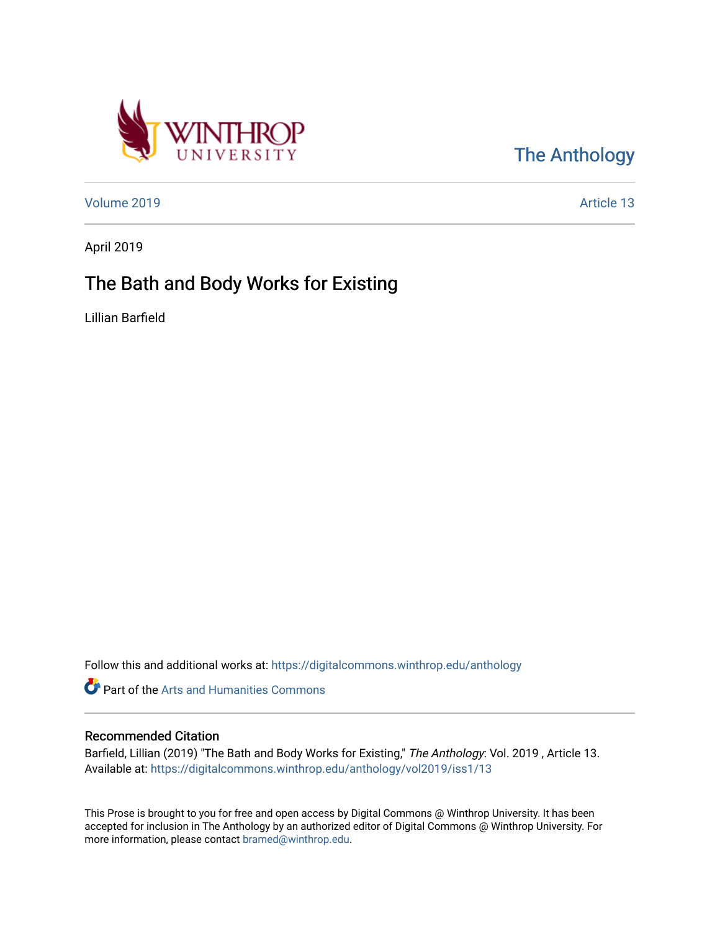

## [The Anthology](https://digitalcommons.winthrop.edu/anthology)

[Volume 2019](https://digitalcommons.winthrop.edu/anthology/vol2019) [Article 13](https://digitalcommons.winthrop.edu/anthology/vol2019/iss1/13) 

April 2019

## The Bath and Body Works for Existing

Lillian Barfield

Follow this and additional works at: [https://digitalcommons.winthrop.edu/anthology](https://digitalcommons.winthrop.edu/anthology?utm_source=digitalcommons.winthrop.edu%2Fanthology%2Fvol2019%2Fiss1%2F13&utm_medium=PDF&utm_campaign=PDFCoverPages) 

Part of the [Arts and Humanities Commons](http://network.bepress.com/hgg/discipline/438?utm_source=digitalcommons.winthrop.edu%2Fanthology%2Fvol2019%2Fiss1%2F13&utm_medium=PDF&utm_campaign=PDFCoverPages) 

## Recommended Citation

Barfield, Lillian (2019) "The Bath and Body Works for Existing," The Anthology: Vol. 2019 , Article 13. Available at: [https://digitalcommons.winthrop.edu/anthology/vol2019/iss1/13](https://digitalcommons.winthrop.edu/anthology/vol2019/iss1/13?utm_source=digitalcommons.winthrop.edu%2Fanthology%2Fvol2019%2Fiss1%2F13&utm_medium=PDF&utm_campaign=PDFCoverPages) 

This Prose is brought to you for free and open access by Digital Commons @ Winthrop University. It has been accepted for inclusion in The Anthology by an authorized editor of Digital Commons @ Winthrop University. For more information, please contact [bramed@winthrop.edu](mailto:bramed@winthrop.edu).